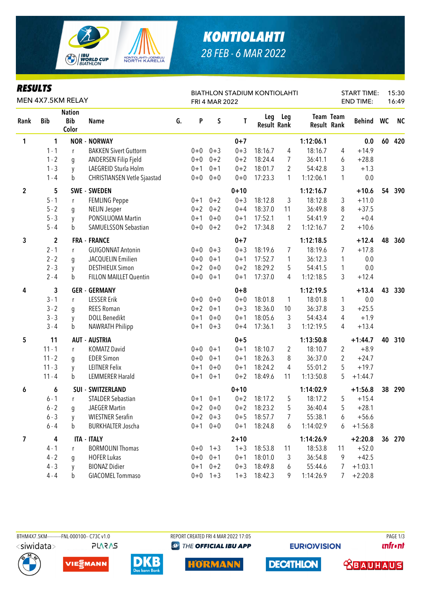

## *KONTIOLAHTI 28 FEB - 6 MAR 2022*

| <b>RESULTS</b><br>MEN 4X7.5KM RELAY |              |                                      |                                    |    |         | <b>BIATHLON STADIUM KONTIOLAHTI</b><br><b>FRI 4 MAR 2022</b> |          |                    |                |             |                  |           | <b>START TIME:</b> | 15:30<br>16:49 |
|-------------------------------------|--------------|--------------------------------------|------------------------------------|----|---------|--------------------------------------------------------------|----------|--------------------|----------------|-------------|------------------|-----------|--------------------|----------------|
| Rank                                | <b>Bib</b>   | <b>Nation</b><br><b>Bib</b><br>Color | <b>Name</b>                        | G. | P       | S                                                            | Τ        | <b>Result Rank</b> | Leg Leg        | Result Rank | <b>Team Team</b> | Behind WC |                    | <b>NC</b>      |
| 1                                   | 1            |                                      | <b>NOR - NORWAY</b>                |    |         |                                                              | $0 + 7$  |                    |                | 1:12:06.1   |                  | 0.0       | 60                 | 420            |
|                                     | $1 - 1$      | r                                    | <b>BAKKEN Sivert Guttorm</b>       |    | $0 + 0$ | $0 + 3$                                                      | $0 + 3$  | 18:16.7            | 4              | 18:16.7     | 4                | $+14.9$   |                    |                |
|                                     | $1 - 2$      | g                                    | ANDERSEN Filip Fjeld               |    | $0 + 0$ | $0 + 2$                                                      | $0 + 2$  | 18:24.4            | $\overline{7}$ | 36:41.1     | 6                | $+28.8$   |                    |                |
|                                     | $1 - 3$      | y                                    | LAEGREID Sturla Holm               |    | $0 + 1$ | $0 + 1$                                                      | $0 + 2$  | 18:01.7            | 2              | 54:42.8     | 3                | $+1.3$    |                    |                |
|                                     | $1 - 4$      | b                                    | <b>CHRISTIANSEN Vetle Sjaastad</b> |    | $0 + 0$ | $0 + 0$                                                      | $0 + 0$  | 17:23.3            | 1              | 1:12:06.1   | 1                | 0.0       |                    |                |
| $\overline{2}$                      | 5            |                                      | <b>SWE - SWEDEN</b>                |    |         |                                                              | $0 + 10$ |                    |                | 1:12:16.7   |                  | $+10.6$   | 54                 | 390            |
|                                     | $5 - 1$      | r                                    | <b>FEMLING Peppe</b>               |    | $0 + 1$ | $0 + 2$                                                      | $0 + 3$  | 18:12.8            | 3              | 18:12.8     | 3                | $+11.0$   |                    |                |
|                                     | $5 - 2$      | g                                    | <b>NELIN Jesper</b>                |    | $0 + 2$ | $0 + 2$                                                      | $0 + 4$  | 18:37.0            | 11             | 36:49.8     | 8                | $+37.5$   |                    |                |
|                                     | $5 - 3$      | y                                    | PONSILUOMA Martin                  |    | $0 + 1$ | $0 + 0$                                                      | $0 + 1$  | 17:52.1            | 1              | 54:41.9     | 2                | $+0.4$    |                    |                |
|                                     | $5 - 4$      | b                                    | SAMUELSSON Sebastian               |    | $0 + 0$ | $0 + 2$                                                      | $0 + 2$  | 17:34.8            | 2              | 1:12:16.7   | $\overline{2}$   | $+10.6$   |                    |                |
| 3                                   | $\mathbf{2}$ |                                      | <b>FRA - FRANCE</b>                |    |         |                                                              | $0 + 7$  |                    |                | 1:12:18.5   |                  | $+12.4$   | 48                 | 360            |
|                                     | $2 - 1$      | r                                    | <b>GUIGONNAT Antonin</b>           |    | $0 + 0$ | $0 + 3$                                                      | $0 + 3$  | 18:19.6            | $\overline{7}$ | 18:19.6     | 7                | $+17.8$   |                    |                |
|                                     | $2 - 2$      | g                                    | JACQUELIN Emilien                  |    | $0 + 0$ | $0 + 1$                                                      | $0 + 1$  | 17:52.7            | 1              | 36:12.3     | $\mathbf{1}$     | 0.0       |                    |                |
|                                     | $2 - 3$      | y                                    | <b>DESTHIEUX Simon</b>             |    | $0 + 2$ | $0 + 0$                                                      | $0 + 2$  | 18:29.2            | 5              | 54:41.5     | 1                | 0.0       |                    |                |
|                                     | $2 - 4$      | b                                    | <b>FILLON MAILLET Quentin</b>      |    | $0+0$   | $0 + 1$                                                      | $0 + 1$  | 17:37.0            | 4              | 1:12:18.5   | 3                | $+12.4$   |                    |                |
| 4                                   | 3            |                                      | <b>GER - GERMANY</b>               |    |         |                                                              | $0 + 8$  |                    |                | 1:12:19.5   |                  | $+13.4$   | 43                 | 330            |
|                                     | $3 - 1$      | r                                    | <b>LESSER Erik</b>                 |    | $0 + 0$ | $0 + 0$                                                      | $0 + 0$  | 18:01.8            | $\mathbf{1}$   | 18:01.8     | 1                | 0.0       |                    |                |
|                                     | $3 - 2$      | g                                    | <b>REES Roman</b>                  |    | $0 + 2$ | $0 + 1$                                                      | $0 + 3$  | 18:36.0            | 10             | 36:37.8     | 3                | $+25.5$   |                    |                |
|                                     | $3 - 3$      | y                                    | <b>DOLL Benedikt</b>               |    | $0 + 1$ | $0 + 0$                                                      | $0 + 1$  | 18:05.6            | 3              | 54:43.4     | 4                | $+1.9$    |                    |                |
|                                     | $3 - 4$      | b                                    | <b>NAWRATH Philipp</b>             |    | $0 + 1$ | $0 + 3$                                                      | $0 + 4$  | 17:36.1            | 3              | 1:12:19.5   | 4                | $+13.4$   |                    |                |
| 5                                   | 11           |                                      | <b>AUT - AUSTRIA</b>               |    |         |                                                              | $0 + 5$  |                    |                | 1:13:50.8   |                  | $+1:44.7$ | 40                 | 310            |
|                                     | $11 - 1$     | r                                    | <b>KOMATZ David</b>                |    | $0 + 0$ | $0 + 1$                                                      | $0 + 1$  | 18:10.7            | 2              | 18:10.7     | 2                | $+8.9$    |                    |                |
|                                     | $11 - 2$     | q                                    | <b>EDER Simon</b>                  |    | $0 + 0$ | $0 + 1$                                                      | $0 + 1$  | 18:26.3            | 8              | 36:37.0     | 2                | $+24.7$   |                    |                |
|                                     | $11 - 3$     | y                                    | <b>LEITNER Felix</b>               |    | $0 + 1$ | $0 + 0$                                                      | $0 + 1$  | 18:24.2            | 4              | 55:01.2     | 5                | $+19.7$   |                    |                |
|                                     | $11 - 4$     | b                                    | <b>LEMMERER Harald</b>             |    | $0 + 1$ | $0 + 1$                                                      | $0 + 2$  | 18:49.6            | 11             | 1:13:50.8   | 5                | $+1:44.7$ |                    |                |
| 6                                   | 6            |                                      | <b>SUI - SWITZERLAND</b>           |    |         |                                                              | $0 + 10$ |                    |                | 1:14:02.9   |                  | $+1:56.8$ | 38                 | 290            |
|                                     | $6 - 1$      | r                                    | <b>STALDER Sebastian</b>           |    |         | $0+1$ $0+1$                                                  | $0 + 2$  | 18:17.2            | 5              | 18:17.2     | 5                | $+15.4$   |                    |                |
|                                     | $6 - 2$      | q                                    | <b>JAEGER Martin</b>               |    |         | $0+2$ 0+0                                                    | $0 + 2$  | 18:23.2            | 5              | 36:40.4     | 5                | $+28.1$   |                    |                |
|                                     | $6 - 3$      | y                                    | <b>WIESTNER Serafin</b>            |    |         | $0+2$ 0+3                                                    | $0 + 5$  | 18:57.7            | 7              | 55:38.1     | 6                | $+56.6$   |                    |                |
|                                     | $6 - 4$      | b                                    | <b>BURKHALTER Joscha</b>           |    | $0 + 1$ | $0 + 0$                                                      | $0 + 1$  | 18:24.8            | 6              | 1:14:02.9   | 6                | $+1:56.8$ |                    |                |
| 7                                   | 4            |                                      | <b>ITA - ITALY</b>                 |    |         |                                                              | $2 + 10$ |                    |                | 1:14:26.9   |                  | $+2:20.8$ |                    | 36 270         |
|                                     | $4 - 1$      | r                                    | <b>BORMOLINI Thomas</b>            |    | $0+0$   | $1 + 3$                                                      | $1 + 3$  | 18:53.8            | 11             | 18:53.8     | 11               | $+52.0$   |                    |                |
|                                     | $4 - 2$      | q                                    | <b>HOFER Lukas</b>                 |    | $0+0$   | $0 + 1$                                                      | $0 + 1$  | 18:01.0            | 3              | 36:54.8     | 9                | $+42.5$   |                    |                |
|                                     | $4 - 3$      | y                                    | <b>BIONAZ Didier</b>               |    | $0 + 1$ | $0 + 2$                                                      | $0 + 3$  | 18:49.8            | 6              | 55:44.6     | 7                | $+1:03.1$ |                    |                |
|                                     | $4 - 4$      | b                                    | <b>GIACOMEL Tommaso</b>            |    | $0+0$   | $1 + 3$                                                      | $1 + 3$  | 18:42.3            | 9              | 1:14:26.9   | 7                | $+2:20.8$ |                    |                |

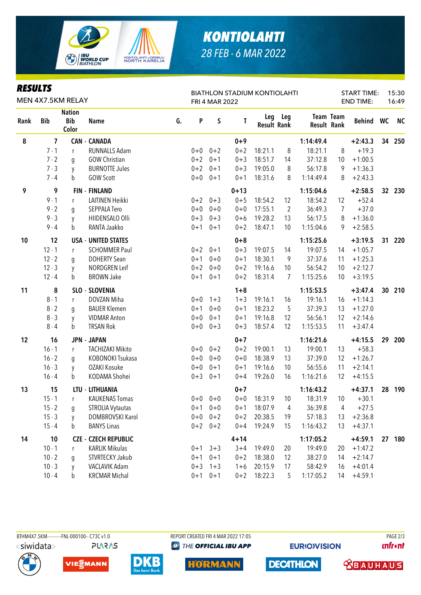

## *KONTIOLAHTI 28 FEB - 6 MAR 2022*

| <b>RESULTS</b><br>MEN 4X7.5KM RELAY |            |                                      |                             |    | <b>BIATHLON STADIUM KONTIOLAHTI</b><br>FRI 4 MAR 2022 |             |          |                    |                |                    |                  | <b>START TIME:</b><br><b>END TIME:</b> |                 | 15:30<br>16:49 |
|-------------------------------------|------------|--------------------------------------|-----------------------------|----|-------------------------------------------------------|-------------|----------|--------------------|----------------|--------------------|------------------|----------------------------------------|-----------------|----------------|
| Rank                                | <b>Bib</b> | <b>Nation</b><br><b>Bib</b><br>Color | <b>Name</b>                 | G. | P                                                     | $\mathsf S$ | T        | <b>Result Rank</b> | Leg Leg        | <b>Result Rank</b> | <b>Team Team</b> | Behind WC                              |                 | <b>NC</b>      |
| 8                                   | 7          |                                      | <b>CAN - CANADA</b>         |    |                                                       |             | $0 + 9$  |                    |                | 1:14:49.4          |                  | $+2:43.3$                              | 34              | 250            |
|                                     | $7 - 1$    | r                                    | <b>RUNNALLS Adam</b>        |    |                                                       | $0+0$ $0+2$ | $0 + 2$  | 18:21.1            | 8              | 18:21.1            | 8                | $+19.3$                                |                 |                |
|                                     | $7 - 2$    | g                                    | <b>GOW Christian</b>        |    | $0 + 2$                                               | $0 + 1$     | $0 + 3$  | 18:51.7            | 14             | 37:12.8            | 10               | $+1:00.5$                              |                 |                |
|                                     | $7 - 3$    | y                                    | <b>BURNOTTE Jules</b>       |    | $0 + 2$                                               | $0 + 1$     | $0 + 3$  | 19:05.0            | 8              | 56:17.8            | 9                | $+1:36.3$                              |                 |                |
|                                     | $7 - 4$    | b                                    | <b>GOW Scott</b>            |    | $0 + 0$                                               | $0 + 1$     | $0 + 1$  | 18:31.6            | 8              | 1:14:49.4          | 8                | $+2:43.3$                              |                 |                |
| 9                                   | 9          |                                      | <b>FIN - FINLAND</b>        |    |                                                       |             | $0 + 13$ |                    |                | 1:15:04.6          |                  | $+2:58.5$                              | 32 <sub>2</sub> | 230            |
|                                     | $9 - 1$    | r                                    | LAITINEN Heikki             |    | $0 + 2$                                               | $0 + 3$     | $0 + 5$  | 18:54.2            | 12             | 18:54.2            | 12               | $+52.4$                                |                 |                |
|                                     | $9 - 2$    | q                                    | <b>SEPPALA Tero</b>         |    | $0 + 0$                                               | $0 + 0$     | $0 + 0$  | 17:55.1            | $\overline{2}$ | 36:49.3            | 7                | $+37.0$                                |                 |                |
|                                     | $9 - 3$    | y                                    | HIIDENSALO Olli             |    | $0 + 3$                                               | $0 + 3$     | $0 + 6$  | 19:28.2            | 13             | 56:17.5            | 8                | $+1:36.0$                              |                 |                |
|                                     | $9 - 4$    | b                                    | RANTA Jaakko                |    | $0 + 1$                                               | $0 + 1$     | $0 + 2$  | 18:47.1            | 10             | 1:15:04.6          | 9                | $+2:58.5$                              |                 |                |
| 10                                  | 12         |                                      | <b>USA - UNITED STATES</b>  |    |                                                       |             | $0 + 8$  |                    |                | 1:15:25.6          |                  | $+3:19.5$                              | 31              | 220            |
|                                     | $12 - 1$   | r                                    | <b>SCHOMMER Paul</b>        |    | $0 + 2$                                               | $0 + 1$     | $0 + 3$  | 19:07.5            | 14             | 19:07.5            | 14               | $+1:05.7$                              |                 |                |
|                                     | $12 - 2$   | q                                    | <b>DOHERTY Sean</b>         |    | $0 + 1$                                               | $0+0$       | $0 + 1$  | 18:30.1            | 9              | 37:37.6            | 11               | $+1:25.3$                              |                 |                |
|                                     | $12 - 3$   | y                                    | NORDGREN Leif               |    | $0 + 2$                                               | $0 + 0$     | $0 + 2$  | 19:16.6            | 10             | 56:54.2            | 10               | $+2:12.7$                              |                 |                |
|                                     | $12 - 4$   | b                                    | <b>BROWN Jake</b>           |    | $0 + 1$                                               | $0 + 1$     | $0 + 2$  | 18:31.4            | 7              | 1:15:25.6          | 10               | $+3:19.5$                              |                 |                |
| 11                                  | 8          |                                      | SLO - SLOVENIA              |    |                                                       |             | $1 + 8$  |                    |                | 1:15:53.5          |                  | $+3:47.4$                              | 30 <sub>2</sub> | 210            |
|                                     | $8 - 1$    | r                                    | DOVZAN Miha                 |    | $0 + 0$                                               | $1 + 3$     | $1 + 3$  | 19:16.1            | 16             | 19:16.1            | 16               | $+1:14.3$                              |                 |                |
|                                     | $8 - 2$    | g                                    | <b>BAUER Klemen</b>         |    | $0 + 1$                                               | $0 + 0$     | $0 + 1$  | 18:23.2            | 5              | 37:39.3            | 13               | $+1:27.0$                              |                 |                |
|                                     | $8 - 3$    | y                                    | <b>VIDMAR Anton</b>         |    | $0 + 0$                                               | $0 + 1$     | $0 + 1$  | 19:16.8            | 12             | 56:56.1            | 12               | $+2:14.6$                              |                 |                |
|                                     | $8 - 4$    | b                                    | <b>TRSAN Rok</b>            |    | $0+0$                                                 | $0 + 3$     | $0 + 3$  | 18:57.4            | 12             | 1:15:53.5          | 11               | $+3:47.4$                              |                 |                |
| 12                                  | 16         |                                      | <b>JPN - JAPAN</b>          |    |                                                       |             | $0 + 7$  |                    |                | 1:16:21.6          |                  | $+4:15.5$                              | 29              | 200            |
|                                     | $16 - 1$   | r                                    | <b>TACHIZAKI Mikito</b>     |    | $0+0$                                                 | $0 + 2$     | $0 + 2$  | 19:00.1            | 13             | 19:00.1            | 13               | $+58.3$                                |                 |                |
|                                     | $16 - 2$   | q                                    | KOBONOKI Tsukasa            |    | $0 + 0$                                               | $0 + 0$     | $0 + 0$  | 18:38.9            | 13             | 37:39.0            | 12               | $+1:26.7$                              |                 |                |
|                                     | $16 - 3$   | y                                    | OZAKI Kosuke                |    | $0 + 0$                                               | $0 + 1$     | $0 + 1$  | 19:16.6            | 10             | 56:55.6            | 11               | $+2:14.1$                              |                 |                |
|                                     | $16 - 4$   | b                                    | KODAMA Shohei               |    | $0 + 3$                                               | $0 + 1$     | $0 + 4$  | 19:26.0            | 16             | 1:16:21.6          | 12               | $+4:15.5$                              |                 |                |
| 13                                  | 15         |                                      | LTU - LITHUANIA             |    |                                                       |             | $0 + 7$  |                    |                | 1:16:43.2          |                  | $+4:37.1$                              | 28              | 190            |
|                                     | $15 - 1$   | r                                    | <b>KAUKENAS Tomas</b>       |    |                                                       | $0+0$ 0+0   | $0 + 0$  | 18:31.9            | 10             | 18:31.9            | 10               | $+30.1$                                |                 |                |
|                                     | $15 - 2$   | g                                    | <b>STROLIA Vytautas</b>     |    | $0 + 1$                                               | $0 + 0$     | $0 + 1$  | 18:07.9            | 4              | 36:39.8            | 4                | $+27.5$                                |                 |                |
|                                     | $15 - 3$   | y                                    | DOMBROVSKI Karol            |    | $0 + 0$                                               | $0 + 2$     | $0 + 2$  | 20:38.5            | 19             | 57:18.3            | 13               | $+2:36.8$                              |                 |                |
|                                     | $15 - 4$   | b                                    | <b>BANYS Linas</b>          |    | $0 + 2$                                               | $0 + 2$     | $0 + 4$  | 19:24.9            | 15             | 1:16:43.2          | 13               | $+4:37.1$                              |                 |                |
| 14                                  | 10         |                                      | <b>CZE - CZECH REPUBLIC</b> |    |                                                       |             | $4 + 14$ |                    |                | 1:17:05.2          |                  | $+4:59.1$                              |                 | 27 180         |
|                                     | $10 - 1$   | r                                    | <b>KARLIK Mikulas</b>       |    | $0 + 1$                                               | $3 + 3$     | $3 + 4$  | 19:49.0            | 20             | 19:49.0            | 20               | $+1:47.2$                              |                 |                |
|                                     | $10 - 2$   | q                                    | STVRTECKY Jakub             |    | $0 + 1$                                               | $0 + 1$     | $0 + 2$  | 18:38.0            | 12             | 38:27.0            | 14               | $+2:14.7$                              |                 |                |
|                                     | $10 - 3$   | y                                    | VACLAVIK Adam               |    | $0 + 3$                                               | $1 + 3$     | $1 + 6$  | 20:15.9            | 17             | 58:42.9            | 16               | $+4:01.4$                              |                 |                |
|                                     | $10 - 4$   | h                                    | <b>KRCMAR Michal</b>        |    |                                                       | $0+1$ 0+1   | $0 + 2$  | 18:22.3            | 5              | 1:17:05.2          | 14               | $+4:59.1$                              |                 |                |